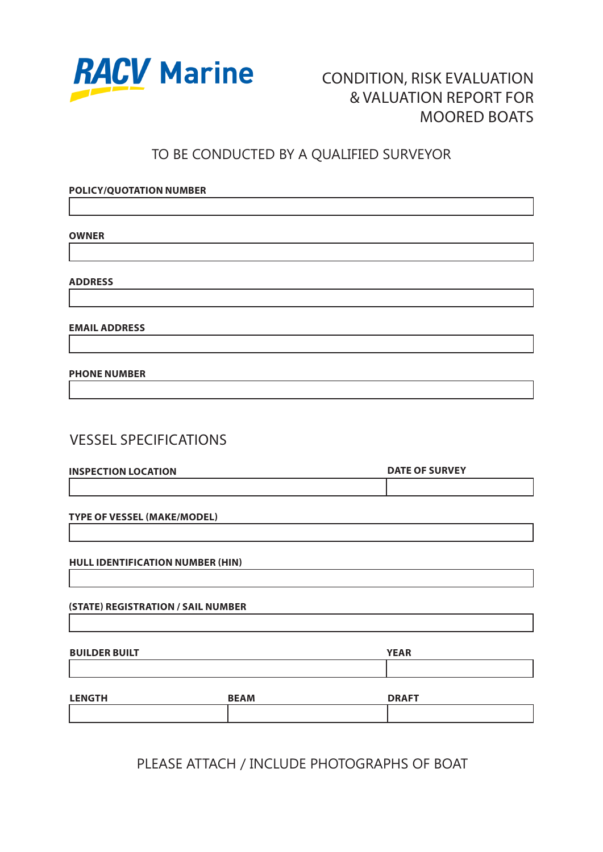

**POLICY/QUOTATION NUMBER**

# CONDITION, RISK EVALUATION & VALUATION REPORT FOR MOORED BOATS

## TO BE CONDUCTED BY A QUALIFIED SURVEYOR

# **OWNER ADDRESS EMAIL ADDRESS PHONE NUMBER** VESSEL SPECIFICATIONS **TYPE OF VESSEL (MAKE/MODEL) HULL IDENTIFICATION NUMBER (HIN) (STATE) REGISTRATION / SAIL NUMBER INSPECTION LOCATION DATE OF SURVEY BUILDER BUILT YEAR LENGTH BEAM DRAFT**

PLEASE ATTACH / INCLUDE PHOTOGRAPHS OF BOAT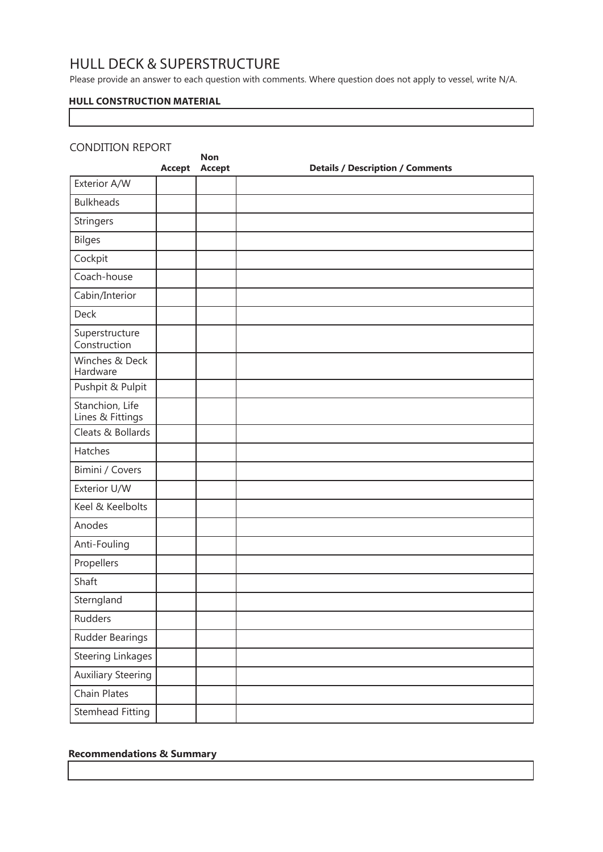## HULL DECK & SUPERSTRUCTURE

Please provide an answer to each question with comments. Where question does not apply to vessel, write N/A.

## **HULL CONSTRUCTION MATERIAL**

## CONDITION REPORT

| <b>CONDITION REPORT</b>             | Accept | <b>Non</b><br>Accept | <b>Details / Description / Comments</b> |
|-------------------------------------|--------|----------------------|-----------------------------------------|
| Exterior A/W                        |        |                      |                                         |
| <b>Bulkheads</b>                    |        |                      |                                         |
| Stringers                           |        |                      |                                         |
| <b>Bilges</b>                       |        |                      |                                         |
| Cockpit                             |        |                      |                                         |
| Coach-house                         |        |                      |                                         |
| Cabin/Interior                      |        |                      |                                         |
| Deck                                |        |                      |                                         |
| Superstructure<br>Construction      |        |                      |                                         |
| Winches & Deck<br>Hardware          |        |                      |                                         |
| Pushpit & Pulpit                    |        |                      |                                         |
| Stanchion, Life<br>Lines & Fittings |        |                      |                                         |
| Cleats & Bollards                   |        |                      |                                         |
| Hatches                             |        |                      |                                         |
| Bimini / Covers                     |        |                      |                                         |
| Exterior U/W                        |        |                      |                                         |
| Keel & Keelbolts                    |        |                      |                                         |
| Anodes                              |        |                      |                                         |
| Anti-Fouling                        |        |                      |                                         |
| Propellers                          |        |                      |                                         |
| Shaft                               |        |                      |                                         |
| Sterngland                          |        |                      |                                         |
| Rudders                             |        |                      |                                         |
| Rudder Bearings                     |        |                      |                                         |
| <b>Steering Linkages</b>            |        |                      |                                         |
| <b>Auxiliary Steering</b>           |        |                      |                                         |
| Chain Plates                        |        |                      |                                         |
| Stemhead Fitting                    |        |                      |                                         |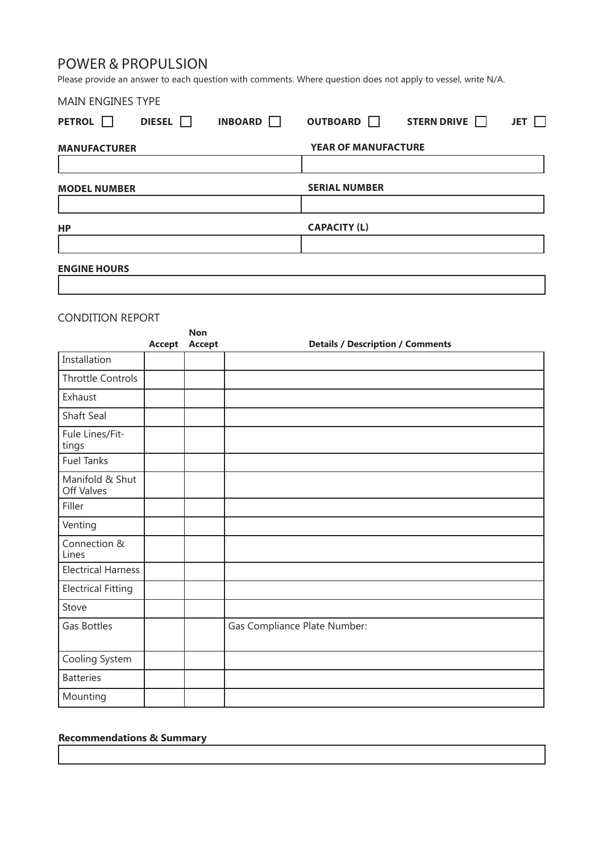## POWER & PROPULSION

Please provide an answer to each question with comments. Where question does not apply to vessel, write N/A.

| <b>MAIN ENGINES TYPE</b>      |               |                      |                            |                    |            |
|-------------------------------|---------------|----------------------|----------------------------|--------------------|------------|
| <b>PETROL</b><br>$\mathbf{1}$ | DIESEL $\Box$ | INBOARD <sup>1</sup> | OUTBOARD <b>I</b>          | STERN DRIVE $\Box$ | <b>JET</b> |
| <b>MANUFACTURER</b>           |               |                      | <b>YEAR OF MANUFACTURE</b> |                    |            |
|                               |               |                      |                            |                    |            |
| <b>MODEL NUMBER</b>           |               |                      | <b>SERIAL NUMBER</b>       |                    |            |
|                               |               |                      |                            |                    |            |
| HP                            |               |                      | <b>CAPACITY (L)</b>        |                    |            |
|                               |               |                      |                            |                    |            |
| <b>ENGINE HOURS</b>           |               |                      |                            |                    |            |

## CONDITION REPORT

|                               | <b>Accept</b> | <b>Non</b><br><b>Accept</b> | <b>Details / Description / Comments</b> |
|-------------------------------|---------------|-----------------------------|-----------------------------------------|
| Installation                  |               |                             |                                         |
| Throttle Controls             |               |                             |                                         |
| Exhaust                       |               |                             |                                         |
| Shaft Seal                    |               |                             |                                         |
| Fule Lines/Fit-<br>tings      |               |                             |                                         |
| <b>Fuel Tanks</b>             |               |                             |                                         |
| Manifold & Shut<br>Off Valves |               |                             |                                         |
| Filler                        |               |                             |                                         |
| Venting                       |               |                             |                                         |
| Connection &<br>Lines         |               |                             |                                         |
| <b>Electrical Harness</b>     |               |                             |                                         |
| <b>Electrical Fitting</b>     |               |                             |                                         |
| Stove                         |               |                             |                                         |
| Gas Bottles                   |               |                             | Gas Compliance Plate Number:            |
| Cooling System                |               |                             |                                         |
| <b>Batteries</b>              |               |                             |                                         |
| Mounting                      |               |                             |                                         |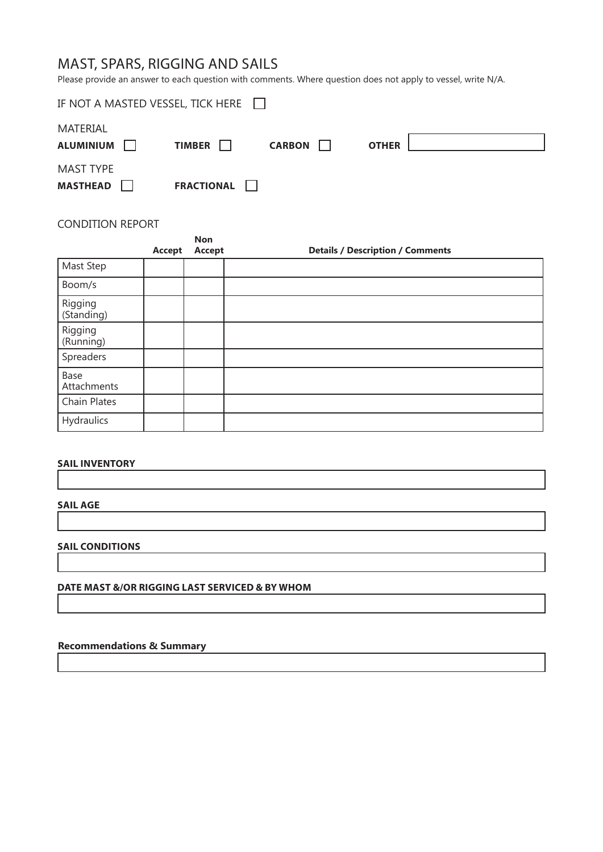# MAST, SPARS, RIGGING AND SAILS

Please provide an answer to each question with comments. Where question does not apply to vessel, write N/A.

| IF NOT A MASTED VESSEL, TICK HERE $\Box$ |                     |               |              |  |
|------------------------------------------|---------------------|---------------|--------------|--|
| MATERIAL<br><b>ALUMINIUM</b>             | TIMBER              | <b>CARBON</b> | <b>OTHER</b> |  |
| <b>MAST TYPE</b><br>MASTHEAD <b>N</b>    | FRACTIONAL <b>T</b> |               |              |  |

#### CONDITION REPORT

|                       | Accept | <b>Non</b><br><b>Accept</b> | <b>Details / Description / Comments</b> |
|-----------------------|--------|-----------------------------|-----------------------------------------|
| Mast Step             |        |                             |                                         |
| Boom/s                |        |                             |                                         |
| Rigging<br>(Standing) |        |                             |                                         |
| Rigging<br>(Running)  |        |                             |                                         |
| Spreaders             |        |                             |                                         |
| Base<br>Attachments   |        |                             |                                         |
| Chain Plates          |        |                             |                                         |
| Hydraulics            |        |                             |                                         |

#### **SAIL INVENTORY**

## **SAIL AGE**

#### **SAIL CONDITIONS**

#### **DATE MAST &/OR RIGGING LAST SERVICED & BY WHOM**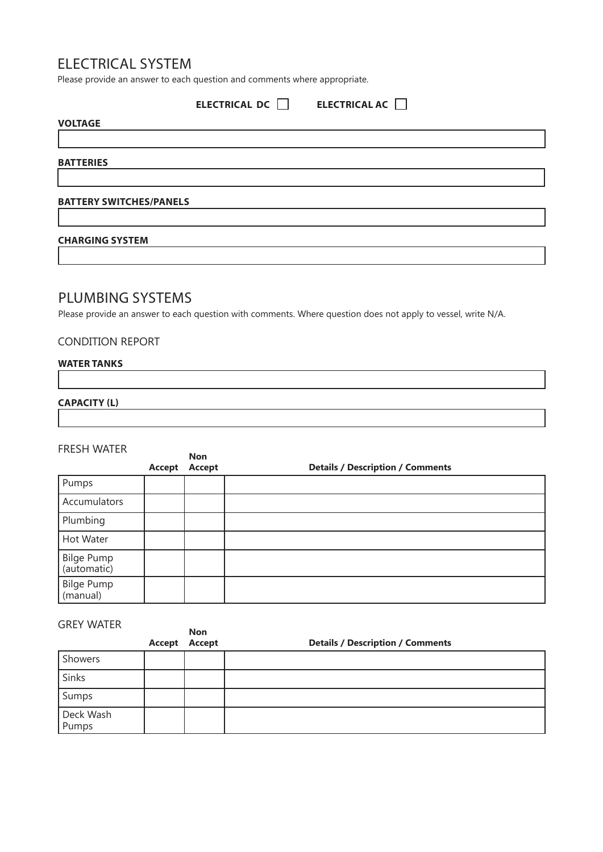## ELECTRICAL SYSTEM

Please provide an answer to each question and comments where appropriate.

|                                | ELECTRICAL DC $\Box$ ELECTRICAL AC $\Box$ |  |
|--------------------------------|-------------------------------------------|--|
| <b>VOLTAGE</b>                 |                                           |  |
|                                |                                           |  |
| <b>BATTERIES</b>               |                                           |  |
|                                |                                           |  |
| <b>BATTERY SWITCHES/PANELS</b> |                                           |  |
|                                |                                           |  |
| <b>CHARGING SYSTEM</b>         |                                           |  |

## PLUMBING SYSTEMS

Please provide an answer to each question with comments. Where question does not apply to vessel, write N/A.

## CONDITION REPORT

## **WATER TANKS**

#### **CAPACITY (L)**

#### FRESH WATER

|                                  | Accept | <b>Non</b><br>Accept | <b>Details / Description / Comments</b> |
|----------------------------------|--------|----------------------|-----------------------------------------|
| Pumps                            |        |                      |                                         |
| Accumulators                     |        |                      |                                         |
| Plumbing                         |        |                      |                                         |
| Hot Water                        |        |                      |                                         |
| <b>Bilge Pump</b><br>(automatic) |        |                      |                                         |
| Bilge Pump<br>(manual)           |        |                      |                                         |

| <b>GREY WATER</b>  | Accept | <b>Non</b><br>Accept | <b>Details / Description / Comments</b> |
|--------------------|--------|----------------------|-----------------------------------------|
| Showers            |        |                      |                                         |
| Sinks              |        |                      |                                         |
| Sumps              |        |                      |                                         |
| Deck Wash<br>Pumps |        |                      |                                         |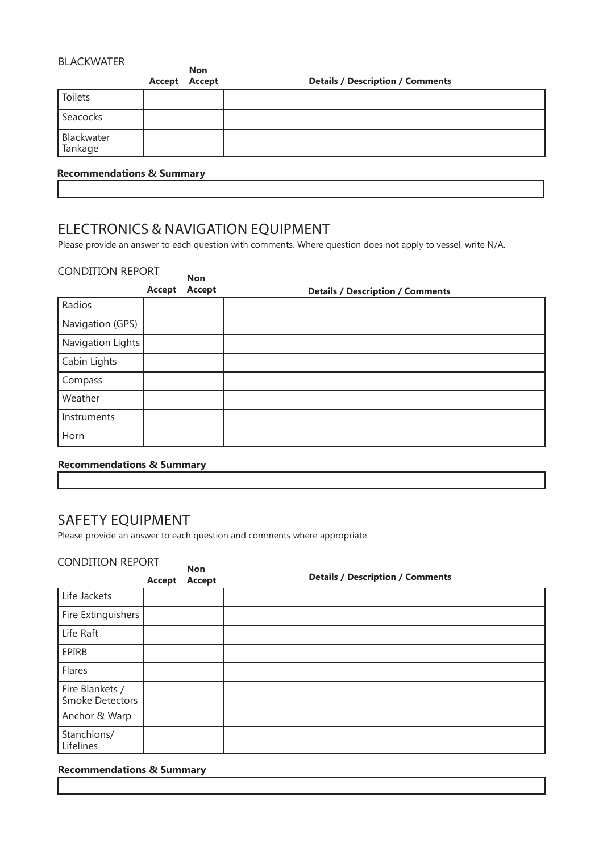## BLACKWATER

|                       | Accept | <b>Non</b><br>Accept | <b>Details / Description / Comments</b> |
|-----------------------|--------|----------------------|-----------------------------------------|
| Toilets               |        |                      |                                         |
| Seacocks              |        |                      |                                         |
| Blackwater<br>Tankage |        |                      |                                         |
|                       |        |                      |                                         |

## **Recommendations & Summary**

ELECTRONICS & NAVIGATION EQUIPMENT

Please provide an answer to each question with comments. Where question does not apply to vessel, write N/A.

## CONDITION REPORT

| <b>CONDITION IN DITI</b> | Accept | <b>Non</b><br>Accept | <b>Details / Description / Comments</b> |
|--------------------------|--------|----------------------|-----------------------------------------|
| Radios                   |        |                      |                                         |
| Navigation (GPS)         |        |                      |                                         |
| Navigation Lights        |        |                      |                                         |
| Cabin Lights             |        |                      |                                         |
| Compass                  |        |                      |                                         |
| Weather                  |        |                      |                                         |
| Instruments              |        |                      |                                         |
| Horn                     |        |                      |                                         |

## **Recommendations & Summary**

## SAFETY EQUIPMENT

Please provide an answer to each question and comments where appropriate.

## CONDITION REPORT

|                                           | Accept | <b>Non</b><br><b>Accept</b> | <b>Details / Description / Comments</b> |
|-------------------------------------------|--------|-----------------------------|-----------------------------------------|
| Life Jackets                              |        |                             |                                         |
| Fire Extinguishers                        |        |                             |                                         |
| Life Raft                                 |        |                             |                                         |
| EPIRB                                     |        |                             |                                         |
| Flares                                    |        |                             |                                         |
| Fire Blankets /<br><b>Smoke Detectors</b> |        |                             |                                         |
| Anchor & Warp                             |        |                             |                                         |
| Stanchions/<br>Lifelines                  |        |                             |                                         |